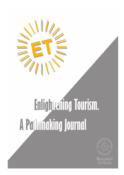

# Enlightening Tourism. A Padumaking Journal



de Huel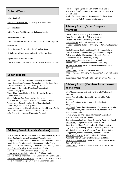# **Editorial Team**

#### **Editor in Chief**

[Alfonso Vargas-Sánchez,](javascript:openRTWindow() University of Huelva, Spain

#### **Associate Editor**

[Mirko Pera](javascript:openRTWindow()no, Reald University College, Albania

#### **Books Review Editor**

[Brendan Paddi](javascript:openRTWindow()son, York St. John University, United Kingdom

#### **Secretariat**

Elena García de Soto, University of Huelva, Spain

[Cinta Borrero-Domínguez](javascript:openRTWindow(), University of Huelva, Spain

#### **Style reviewer and text editor**

[Anestis Fotiadis, I-SHOU Univers](javascript:openRTWindow()ity, Taiwan, Province of China

# **Editorial Board**

José Manuel Alcaraz, Murdoch University, Australia Mario Castellanos-Verdugo, University of Seville, Spain José Antonio Fraiz-Brea, University of Vigo, Spain José Manuel Hernández-Mogollón, University of Extremadura, Spain Tzung-Chen Huan, National Chiayi University, Taiwan, Province of China Shaul Krakover, Ben Gurion University, Israel Jean Pierre Levy-Mangin, University of Quebec, Canada Tomás López-Guzmán, University of Córdoba, Spain Yasuo Ohe, Chiba University, Japón María de los Ángeles Plaza-Mejía, University of Huelva, Spain Nuria Porras-Bueno, University of Huelva, Spain João Albino Silva, Algarve University, Portugal

# **Advisory Board (Spanish Members)**

Juan Manuel Berbel-Pineda, Pablo de Olavide University, Spain [César Camisón-Zornoza,](javascript:openRTWindow() Uniersity of Valencia, Spain [Enrique Claver-Corté](javascript:openRTWindow()s, University of Alicante, Spain [María Teresa Fernández-Alles,](javascript:openRTWindow() University of Cádiz, Spain [José Luis Galán-Gonzá](javascript:openRTWindow()lez, University of Seville, Spain Félix Grande-Torraleja, University of Jaén, Spain [Antonio Leal-Millán, Univ](javascript:openRTWindow()ersity of Seville, Spain Inmaculada Martín-Rojo, University of Málaga, Spain Antonio Manuel Martínez-López, University of Huelva, Spain Francisco José Martínez-López, University of Huelva, Spain Pablo A. Muñoz-Gallego, University of Salamanca, Spain

Francisco Riquel-Ligero, University of Huelva, Spain José Miguel Rodríguez-Antón, Autonomous University of Madrid, Spain

Sandra Sanchez-Cañizares, University of Cordoba, Spain Josep Francesc Valls-Giménez, ESADE, Spain

# **Advisory Board (Other European Members)**

Tindara Abbate, University of Messina, Italy [Paulo Aguas,](javascript:openRTWindow() University of Algarve, Portugal [Carlos Costa, Ave](javascript:openRTWindow()iro University, Portugal [Dianne Dredg](javascript:openRTWindow()e, Aalborg University, Denmark [Salvatore Esposito de Falco](javascript:openRTWindow(), University of Rome "La Sapienza", Italy [Sheila Flanagan,](javascript:openRTWindow() Dublín Institute of Technology, Ireland [Tania Gorcheva,](javascript:openRTWindow() Tsenov Academy of Economics, Bulgaria [Tadeja Jere](javascript:openRTWindow() Jakulin, University of Primorska, Slovenia [Metin Kozak,](javascript:openRTWindow() Mugla University, Turkey [Álvaro Matias](javascript:openRTWindow(), Lusiada University, Portugal [Alfonso Morvil](javascript:openRTWindow()lo, National Research Council, Italy [Alexandru Nedele](javascript:openRTWindow()a, Stefan cel Mare University of Suceava, Romania [Claudio Nigr](javascript:openRTWindow()o, University of Foggia, Italy Angelo Presenza, University "G. D'Annunzio" of Chieti-Pescara, Italy

Kanes Rajah, Royal Agricultural University, United Kingdom

# **Advisory Board (Members from the rest of the world)**

[John Allee,](javascript:openRTWindow() American University of Sharjah, United Arab Emirates

[Nestor Pedro Braidot,](javascript:openRTWindow() National University of La Plata, Argentina

Roberto Elias Canese, Columbia University, Rector, [Paraguay](javascript:openRTWindow() 

Luca Casali, Queensland University of Technology, Australia [Nimit Chow](javascript:openRTWindow()dhary, Indian Institute of Tourism and Travel [Management, Indi](javascript:openRTWindow()a

Steven Chung-chi Wu, National Pingtung University of Science and Technology, Taiwán

Dianne Dredge, Southern Cross University, Australia Daniel Fesenmaier, Temple University, United States

[Babu George,](javascript:openRTWindow() Alaska Pacific University, United States [Dogan Gursoy, Was](javascript:openRTWindow()hington State University, United States [Jafar Jafari, Un](javascript:openRTWindow()iversity of Wisconsin-Stout, United States

Sanggun Lee, Pai Chai University, Korea Republic of [Albert Yeh Shan](javascript:openRTWindow()gpao, I-SHOU University, Taiwán

[Pauline Sheld](javascript:openRTWindow()on, University of Hawaii, United States

Germán A. Sierra-Anaya, University of Cartagena de Indias, Rector, Colombia

[Xiaohua Yang, Un](javascript:openRTWindow()iversity of San Francisco, United States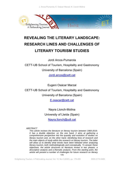

# **REVEALING THE LITERARY LANDSCAPE: RESEARCH LINES AND CHALLENGES OF LITERARY TOURISM STUDIES**

Jordi Arcos-Pumarola CETT-UB School of Tourism, Hospitality and Gastronomy University of Barcelona (Spain)

Jordi.arcos@cett.cat

Eugeni Osácar Marzal CETT-UB School of Tourism, Hospitality and Gastronomy University of Barcelona (Spain)

E.osacar@cett.cat

Nayra Llonch-Molina University of Lleida (Spain) Nayra.llonch@udl.cat

#### *ABSTRACT*

179 *This article reviews the literature on literary tourism between 1983-2019. It has a double objective: on the one hand, it aims at gathering a comprehensive perspective into the quantity and evolution of studies on literary tourism and, on the other hand, identifying lines of research and the main objects of study within the research on literary tourism. The latter*  will allow us to identify what trends have been followed when analyzing *literary tourism, both methodologically and conceptually. To answer these objectives, the article structures its literature review in two phases: a descriptive analysis and a thematic analysis. From this starting point, the article will present a number of challenges for future research on literary*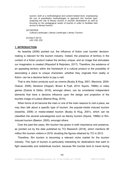*tourism, both at a methodological and content-related level, emphasizing the use of quantitative methodologies to approach this touristic type, analyzing the role of literary tourism in touristic destinations as well as focusing on the pedagogical needs of tourists in order to facilitate their access to literary tourism.* 

*KEYWORDS* 

*Cultural Landscape; Literary Landscape; Literary Tourism.* 

*ECONLIT KEYS L83; Z30; Z32.* 

#### **1. INTRODUCTION**

As Iwashita (2006) pointed out, the influence of fiction over tourists' decisionmaking is relevant for the tourism industry. Indeed, the presence of territory in the context of a fiction product makes the territory unique, and an image that stimulates our imagination is created (Waysdorf & Reijnders, 2017). Therefore, the existence of an appealing territory within the framework of a cultural product or the possibility of associating a place to unique characters -whether they originate from reality or fiction- can be a decisive factor to pay a visit.

That is why fiction products such as cinema (Busby & Klug, 2001; Macionis, 2004; Osácar, 2009), literature (Hoppen, Brown & Fyall, 2014; Squire, 1996b) or video games (Dubois & Gibbs, 2018), amongst others, can be considered independent elements that have a decisive influence upon the design and projection of the touristic image of a place (Marine-Roig, 2015).

When forms of art become the main or one of the main reasons to visit a place, we may then talk about a specific type of tourism: the popular-media induced tourism (Iwashita, 2006) or media-related tourism (Busby & Klug, 2001), which can be classified into several subcategories such as literary tourism (Squire, 1996b) or filminduced tourism (Beeton, 2005), amongst others.

Over the past few years, film tourism has grown in both importance and presence, as pointed out by the data published by TCI Research (2018), which mentions 80 million film tourism visitors in 2018, doubling the figures obtained by TCI in 2012.

Therefore, film tourism is becoming a relevant niche market for the tourism industry. This type of tourism is particularly interesting for destinations that want to fight seasonality and redistribute tourism, because film tourists tend to travel during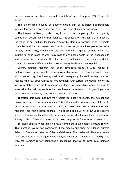the low season, and hence alternative points of interest appear (TCI Research, 2018).

This article also focuses on another crucial part of so-called popular-media induced tourism: literary tourism and how it has been studied by academia.

The interest in literary tourism lies, in fact, in its complexity. Such complexity comes from several factors. For instance, it is difficult to find a formula to measure the value of any cultural landscape created by literature because of its intangible character and the uniqueness each author uses to portray their perception of a territory. Additionally, the cultural distance and the language barriers which are intrinsic to each piece of work may hide the symbolic depth of the landscape to visitors from distant realities. Therefore, a deep reflection is necessary in order to communicate more effectively the power of literary landscapes to the public.

Literary tourism research has been developed using a wide variety of methodologies and approached from several disciplines. On many occasions, case study methodology has been applied, and consequently, focused on very localized realities with few opportunities for extrapolation. Our current knowledge shows the lack of a global approach to research on literary tourism, which would allow us to know what the main research topics have been, what research topic groupings have been done and how they have been approached to date.

Therefore, this paper has two main objectives. Firstly, to identify the number and evolution of studies on literary tourism. This first aim will provide a picture of the state of the art research and trends up to 14 March 2019. Secondly, to define the main research lines within literary tourism. This second objective will allow us to observe which methodological and thematic trends can be found in the academic literature on literary tourism. These outcomes help to point out possible future lines of research.

To these achieve these aims we have carried out a systematic literature review. This literature review has considered those articles published by indexed journals listed on Scopus and Web of Science databases. This systematic literature review has consisted of a two-staged mixed analysis based on Tranfield et al. (2003). This way, the literature review comprises a descriptive analysis, followed by a thematic analysis.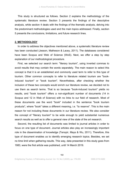This study is structured as follows. Section 2 explains the methodology of the systematic literature review. Section 3 presents the findings of the descriptive analysis, while section 4 deals with the findings of the thematic analysis, delving into the predominant methodologies used and the main topics addressed. Finally, section 5 presents the conclusions, limitations, and future research lines.

#### **2. METHODOLOGY**

In order to address the objectives mentioned above, a systematic literature review has been conducted (Jesson, Matheson & Lacey, 2011). The databases considered have been Scopus and Web of Science (WoS). Next, we offer a step by step explanation of our methodological procedure.

First, we selected our search term: "literary tourism", using inverted commas to avoid results that may contain the words separately. The main reason to select this concept is that it is an established and commonly used term to refer to this type of tourism. Other common concepts to refer to literature related tourism are "bookinduced tourism" or "book tourism". Nevertheless, after checking whether the inclusion of these two concepts would enrich our literature review, we decided not to use them as search terms. That is so because "book-induced tourism" yields no results, and "book tourism" offers a non-significant number of documents (14 in Scopus and 12 in Web of Science) with no links to our field of research. Most of these documents use the word "book" included in the sentence "book tourism products", where "book" takes a different meaning, i.e. "to reserve". This is the main reason for not including these documents in our literature review. We also consider the concept of "literary tourism" to be wide enough to yield substantial numerous search results as well as to offer a general view of the state of the art research.

Second, the resulting list of documents was limited to journal articles in order to focus on one type of document. Journal articles also play an increasingly important role in the dissemination of knowledge (Tenopir, Mays & Wu, 2011). Therefore, this type of document enables us to identify emerging research topics. Besides, we set no time limit when gathering results. This way, data presented in this study goes from 1983, were the first article was published, until 14 March 2019.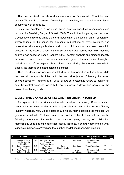Third, we received two lists of documents, one for Scopus with 59 articles, and one for WoS with 57 articles. Discarding the matches, we created a joint list of documents with 88 articles.

Lastly, we developed a two-stage mixed analysis based on recommendations provided by Tranfield, Denyer & Smart (2003). Thus, in the first place, we conducted a descriptive analysis to grasp a general viewpoint of the development of research on literary tourism. In this sense, the number of publications per year, countries, and universities with more publications and most prolific authors has been taken into account. In the second place, a thematic analysis was carried out. This thematic analysis was based on López Noguero (2002) content analysis and aimed to identify the most relevant research topics and methodologies on literary tourism through a critical reading of the papers. Nvivo 12 was used during the thematic analysis to classify the themes and methodologies identified.

Thus, the descriptive analysis is related to the first objective of this article, while the thematic analysis is linked with the second objective. Following the mixed analysis based on Tranfield et al. (2003) allows our systematic review to identify not only the central emerging topics but also to present a descriptive account of the research on literary tourism.

#### **3. DESCRIPTIVE ANALYSIS OF RESEARCH ON LITERARY TOURISM**

As explained in the previous section, when analyzed separately, Scopus yields a result of 59 published articles in indexed journals that include the concept "literary tourism" whereas, WoS yields a total of 57 articles. After discarding the matches, we generated a list with 88 documents, as showed in Table 1. This table shows the following information for each paper: authors, year, country of publication, methodology used and main topic addressed. Besides, it shows whether the journal is indexed in Scopus or WoS and the number of citations received in brackets.

| N. | Author(s)                                              | Year | Journal                                                | Country                 | Methodologies        | <b>Lines of Research</b><br>– Topics | WoS | Sco-<br>pus |
|----|--------------------------------------------------------|------|--------------------------------------------------------|-------------------------|----------------------|--------------------------------------|-----|-------------|
|    | Azuara Grande, A.;<br>Curiel, J.D.; de la<br>Hoz. I.D. | 2019 | Pasos - Revista de<br>Turismo y<br>Patrimonio Cultural | Spain                   | <b>Interviews</b>    | Management of<br>literary tourism    |     |             |
| 2  | Brown, L., Ariaza<br>Ibarra, K.                        | 2018 | Tourism<br>Management                                  | United<br>Kingdom/Spain | Interviews           | Tourists' experience                 |     |             |
| -3 | Torabi Farsani, N.,<br>Saffari, B., Shafiei,           | 2018 | Journal of Heritage<br>Tourism                         | Iran                    | Mixed<br>methodology | Management of<br>literary tourism    |     | Y(1)        |

183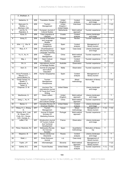|    | Z., Shafieian, A.                                                                     |      |                                                                                    |                                             |                             |                                   |      |                   |
|----|---------------------------------------------------------------------------------------|------|------------------------------------------------------------------------------------|---------------------------------------------|-----------------------------|-----------------------------------|------|-------------------|
| 4  | Saldanha, G.                                                                          | 2018 | <b>Translation Studies</b>                                                         | United<br>Kingdom                           | Content<br>analysis         | Literary landscape<br>and image   | Y    | Y                 |
| 5  | MacLeod, N.,<br>Shelley, J.,<br>Morrison, A.M.                                        | 2018 | Tourism<br>Management                                                              | United<br>Kingdom /<br><b>United States</b> | Interviews                  | Tourists' experience              | Ϋ    | Y(2)              |
| 6  | van Es, N.,<br>Reijnders, S.                                                          | 2018 | European Journal of<br><b>Cultural Studies</b>                                     | <b>Netherlands</b>                          | Multi-method<br>approach    | Tourists' experience              | Y    | Y(1)              |
| 7  | Kuna, D.                                                                              | 2018 | Folia Lingustica et<br>Litteraria                                                  | Croatia                                     | Content<br>analysis         | Literary landscape<br>and image   | Υ    |                   |
| 8  | Amey, E.                                                                              | 2018 | Journal of Narrative<br>and Language<br><b>Studies</b>                             | Finland                                     | Review                      | Tourists' experience              |      | Υ                 |
| 9  | Añel, I. V., Vila, N.<br>А.                                                           | 2018 | Cuadernos<br>Geograficos                                                           | Spain                                       | Content<br>analysis         | Management of<br>literary tourism | Υ    |                   |
| 10 | Rios, A. F.                                                                           | 2018 | Chuzhdoezikovo<br>Obuchenie-Foreign<br>Language Teaching                           | Spain                                       | Case study                  | Literary landscape<br>and image   | Y    |                   |
| 11 | Yu, X., Xu, H.                                                                        | 2018 | Tourism<br>Management                                                              | China                                       | Multi-method<br>approach    | Tourists' experience              | Y    | Y(4)              |
| 12 | Maj, J.                                                                               | 2018 | Open Cultural<br><b>Studies</b>                                                    | Poland                                      | Content<br>analysis         | Tourists' experience              | Y    |                   |
| 13 | Orr, A.                                                                               | 2018 | International Journal<br>of Heritage Studies                                       | Australia                                   | Observation                 | Tourists' experience              | Y    | $\overline{Y(1)}$ |
| 14 | Xerri. D.                                                                             | 2018 | Journal of Language<br>and Cultural<br>Education                                   | Malta                                       | Observation                 | Tourists' experience              | Y    |                   |
| 15 | Arcos-Pumarola, J.,<br>Marzal, E.O.,<br>Llonch-Molina, N.                             | 2018 | Human Geographies                                                                  | Spain                                       | Content<br>analysis         | Management of<br>literary tourism |      | Y                 |
| 16 | Torabi Farsani, N.,<br>Shafiei, Z.,<br>Adilinasab, A.,<br>Taheri, S.                  | 2017 | Tourism<br>Management<br>Perspectives                                              | Iran                                        | Mixed<br>methodology        | Motivation of literary<br>trip    | Y    | $\overline{Y(4)}$ |
| 17 | Chapman, D. W.                                                                        | 2017 | Journeys-The<br>International Journal<br>Of Travel And Travel<br>Writing           | <b>United States</b>                        |                             | Literary landscape<br>and image   | Y    |                   |
| 18 | MacKenzie, G.                                                                         | 2017 | <b>Green Letters</b>                                                               | United<br>Kingdom                           | Multi-method<br>approach    | Literary landscape<br>and image   |      | Y                 |
| 19 | Jiang, L., Xu, H.                                                                     | 2017 | Journal of Tourism<br>and Cultural Change                                          | China                                       | Multi-method<br>approach    | Tourists' experience              | Υ    | Y(4)              |
| 20 | Baraw, C.                                                                             | 2017 | Canadian Review Of<br><b>American Studies</b>                                      | <b>United States</b>                        | Content<br>analysis         | Literary landscape<br>and image   | Y    |                   |
| 21 | Wang, H.-J., Zhang,<br>D.                                                             | 2017 | Tourism<br>Management                                                              | Taiwan                                      | Mixed<br>methodology        | Management of<br>literary tourism | Y(3) | Y(5)              |
| 22 | Oliveira, M.G.; Leal,<br>M., Roque, M.I.,<br>Forte, M.J.; Sousa,<br>S.R.; Correia, A. | 2017 | Journal Of Global<br>Scholars Of<br><b>Marketing Science</b>                       | Portugal                                    | Multi-method<br>approach    | Tourists' experience              | Υ    |                   |
| 23 | LeBel, P.M.                                                                           | 2017 | Almatourism-Journal<br>Of Tourism Culture<br><b>And Territorial</b><br>Development | France                                      | Observation                 | Literary landscape<br>and image   | Υ    |                   |
| 24 | Pérez- Redondo, RJ                                                                    | 2017 | Methaodos-Revista<br>De Ciencias<br>Sociales                                       | Spain                                       | Quantitative<br>methodology | Motivation of literary<br>trip    | Y    |                   |
| 25 | Stepanov, B.                                                                          | 2017 | Novoe Literaturnoe<br>Obozrenie                                                    | Russia                                      | Content<br>analysis         | Literary landscape<br>and image   | Y    | Y                 |
| 26 | Wald, J.                                                                              | 2017 | <b>Emily Dickinson</b><br>Journal                                                  | n.d.                                        | Case study                  | Management of<br>literary tourism |      | Y                 |
| 27 | Topler, J.P.                                                                          | 2016 | Informatologia                                                                     | Slovenia                                    | Multi-method<br>approach    | Management of<br>literary tourism |      | $\overline{Y}(2)$ |
| 28 | Gothie, S.C.                                                                          | 2016 | <b>Tourist Studies</b>                                                             | <b>United States</b>                        | Content<br>analysis         | Tourists' experience              | Y(1) | Y(5)              |

184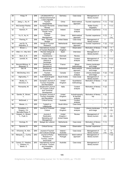| 29              | Knipp, R                                                | 2016 | Lill-Zeitschrift Fur<br>Literaturwissenschaf<br>t Und Linguistik                   | Germany                                     | Case study                               | Management of<br>literary tourism  | Y                 |                   |
|-----------------|---------------------------------------------------------|------|------------------------------------------------------------------------------------|---------------------------------------------|------------------------------------------|------------------------------------|-------------------|-------------------|
| 30              | Jiang, L., Xu, H.                                       | 2016 | Tourism<br>Geographies                                                             | China                                       | Multi-method<br>approach                 | Tourists' experience               | Y(1)              | Y(5)              |
| 31              | McCracken-Flesher,<br>C.                                | 2016 | European Romantic<br>Review                                                        | <b>United States</b>                        |                                          | <b>Walter Scott's</b><br>biography | Y                 | $\overline{Y(1)}$ |
| 32              | Kennon, P.                                              | 2016 | Jeunesse-Young<br>People Texts<br>Cultures                                         | Ireland                                     | Content<br>analysis                      | Tourists' experience               | $\overline{Y(1)}$ |                   |
| 33              | Yu, X., Xu, H.                                          | 2016 | Tourism<br>Management                                                              | China                                       | Multi-method<br>approach                 | Tourists' experience               | $\overline{Y(7)}$ | Y<br>(14)         |
| 34              | Fleming, P.                                             | 2016 | Ned - Victorian<br><b>Studies</b>                                                  | <b>United States</b>                        | Case study                               | Management of<br>literary tourism  | Y                 |                   |
| 35              | van Es, N.,<br>Reijnders, S.                            | 2016 | Annals of Tourism<br>Research                                                      | Netherlands                                 | Multi-method<br>approach                 | Tourists' experience               | Y(2)              | Y(2)              |
| 36              | Brown, L.                                               | 2016 | International Journal<br>of Tourism Research                                       | United<br>Kingdom                           | Observation                              | Motivation of literary<br>trip     | Y(6)              | Y<br>(13)         |
| 37              | Añel, I.V., Vila, N.A.                                  | 2016 | Revista Galega de<br>Economia                                                      | Spain                                       | Interviews                               | Management of<br>literary tourism  |                   | Y                 |
| 38              | Born, A. K.                                             | 2016 | Scandinavica                                                                       | Denmark                                     | Review                                   |                                    | Y                 |                   |
| $\overline{39}$ | Jurinčič, N.                                            | 2016 | <b>Annales-Series</b><br>Historia et<br>Sociologia                                 | Slovenia                                    | Content<br>analysis                      | Management of<br>literary tourism  | Y                 | Y(1)              |
| 40              | Bonniot-Mirloup, A.,<br>Blasquiet, H.                   | 2016 | Territoire en<br>Mouvement                                                         | France                                      | Mixed<br>methodology                     | Literary landscape<br>and image    |                   | $\overline{Y(1)}$ |
| 41              | Gal. M.                                                 | 2016 | Territoire en<br>Mouvement                                                         | Switzerland                                 | Multi-method<br>approach                 | Literary landscape<br>and image    |                   | Y                 |
| 42              | McClinchey, K.A.                                        | 2015 | Tourism<br>Geographies                                                             | Canada                                      | Content<br>analysis                      | Literary landscape<br>and image    | $\overline{Y(2)}$ | Y(5)              |
| 43              | Alghureiby, T.                                          | 2015 | Arab World English<br>Journal                                                      | Saudi Arabia                                | Case study                               | Management of<br>literary tourism  | Y                 |                   |
| 44              | Busby, G.,<br>Devereux, H.                              | 2015 | European Journal of<br>Tourism Hospitality<br>and Recreation                       | United<br>Kingdom                           | Quantitative<br>methodology              | Motivation of literary<br>trip     | $\overline{Y(2)}$ |                   |
| 45              | Pennachia, M.                                           | 2015 | Almatourism-Journal<br>Of Tourism Culture<br><b>And Territorial</b><br>Development | Italia                                      | Content<br>analysis                      | Motivation of literary<br>trip     | Y(2)              |                   |
| 46              | Gentile, R., Brown,<br>L.                               | 2015 | European Journal of<br><b>Tourism Hospitality</b><br>and Recreation                | United<br>Kingdom                           | Autoetnography<br>& thematic<br>analysis | Motivation of literary<br>trip     | Y(2)              |                   |
| 47              | McDonell, J.                                            | 2015 | <b>Critical Survey</b>                                                             | Australia                                   | Content<br>analysis                      | $\blacksquare$                     | Υ                 |                   |
| 48              | Marais, J.L.                                            | 2015 | <b>Tydskrif vir</b><br>Letterkunde                                                 | South Africa                                | Case study                               | $\overline{\phantom{a}}$           | Y                 | Y                 |
| 49              | Donaldson, C.,<br>Gregory, I.N.,<br>Murrieta-Flores, P. | 2015 | Journal of Victorian<br>Culture                                                    | United<br>Kingdom                           | Content<br>analysis                      | Literary landscape<br>and image    | Y(7)              | Y<br>(10)         |
| 50              | Hoppen, A., Brown,<br>L., Fyall, A.                     | 2014 | Journal of<br>Destination<br>Marketing and<br>Management                           | United<br>Kingdom /<br><b>United States</b> | Review                                   | Management of<br>literary tourism  | Y<br>(20)         | Y<br>(32)         |
| 51              | Honings, R.                                             | 2014 | Spiegel der Letteren                                                               | Netherlands                                 | Case study                               | Motivation of literary<br>trip     | $\overline{Y}(1)$ |                   |
| 52              | Spooner, E.                                             | 2014 | <b>Critical Survey</b>                                                             | Canada                                      | Observation                              | Tourists' experience               |                   | Y(2)              |
| 53              | O'Connor, N., Kim,<br>S.                                | 2014 | Journal of Tourism<br>and Cultural Change                                          | Ireland /<br>Australia                      | Case study                               | Management of<br>literary tourism  | Y<br>(15)         | Υ<br>(15)         |
| 54              | Marques, L., Cunha,<br>C.                               | 2013 | Journal of Policy<br>Research in<br>Tourism, Leisure<br>and Events                 | Netherlands /<br>Portugal                   | Multi-method<br>approach                 | Management of<br>literary tourism  |                   | Y(3)              |
| 55              | Carson, S., Hawkes,<br>L., Gislason, K.,<br>Martin, S.  | 2013 | International Journal<br>of Culture, Tourism,<br>and Hospitality<br>Research       | Australia                                   | Case study                               | Management of<br>literary tourism  |                   | Y                 |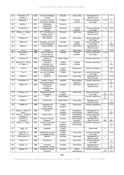| 56              | Yiannakis, J.N.,<br>Davies, A.        | 2012 | Journal of Heritage<br>Tourism                                | Australia                      | Case study                  | Management of<br>literary tourism |                   | Y                 |
|-----------------|---------------------------------------|------|---------------------------------------------------------------|--------------------------------|-----------------------------|-----------------------------------|-------------------|-------------------|
| 57              | Ridanpää, J.                          | 2011 | Journal of Tourism<br>and Cultural Change                     | Findland                       | Content<br>analysis         | Literary landscape<br>and image   | $\overline{Y(5)}$ | Y<br>(11)         |
| 58              | Smolej, T.                            | 2011 | Primerjalna<br>Knjizevnost                                    | Slovenia                       |                             |                                   | Y                 |                   |
| 59              | Richterich, A.                        | 2011 | Cartographic<br>Journal                                       | Germany                        | Content<br>analysis         | Literary landscape<br>and image   | Y(5)              | Y(6)              |
| 60              | Ghetau, L., Esanu,<br>L.V.            | 2011 | <b>WIT Transactions on</b><br>Ecology and the<br>Environment  | Romania                        | Case study                  | Management of<br>literary tourism |                   | Ÿ                 |
| 61              | Bridgma, R.                           | 2010 | Plan Canada                                                   | Canada                         | Case study                  | Literary landscape<br>and image   |                   | Y                 |
| 62              | Banyai, M.                            | 2010 | European Journal of<br><b>Tourism Research</b>                | Canada                         | Content<br>analysis         | Literary landscape<br>and image   |                   | Y<br>(24)         |
| 63              | Stiebel, L.                           | 2010 | <b>Current Writing</b>                                        | South Africa                   | Case study                  | Management of<br>literary tourism |                   | Y(2)              |
| 64              | Jia, H.                               | 2009 | Tourism                                                       | China                          | Case study                  | Tourists' experience              |                   | $\overline{Y(9)}$ |
| 65              | Broomhall, S.,<br>Spinks, J.          | 2009 | Dutch Crossing-<br>Journal Of Low<br><b>Countries Studies</b> | Australia                      | Content<br>analysis         | Literary landscape<br>and image   | Y(3)              |                   |
| 66              | Westover, P                           | 2009 | Studies in<br>Romanticism                                     | <b>United States</b>           |                             | Tourists' experience              | $\overline{Y(3)}$ |                   |
| 67              | Macleod, N., Hayes,<br>D., Slater, A. | 2009 | Journal of<br>Hospitality and<br>Leisure Marketing            | United<br>Kingdom              | Content<br>analysis         | Tourists' experience              |                   | Υ<br>(16)         |
| 68              | Earl, B.                              | 2008 | International Journal<br>of Cultural Studies                  | United<br>Kingdom              | Observation                 | Tourists' experience              |                   | Y(21)             |
| 69              | Fox, R.                               | 2008 | Journal of Heritage<br>Tourism                                | Croatia                        | Case study                  | Literary landscape<br>and image   |                   | $\overline{Y(3)}$ |
| 70              | Stiebel, L.                           | 2007 | Scrutiny2                                                     | South Africa                   | Case study                  | Management of<br>literary tourism |                   | Y(5)              |
| 71              | Buchmann, A.                          | 2006 | Tourism, Culture<br>and Communication                         | Australia                      | Multi-method<br>approach    | Tourists' experience              |                   | Υ<br>(23)         |
| 72              | Müller, D.K.                          | 2006 | Scandinavian<br>Journal of<br>Hospitality and<br>Tourism      | Sweden                         | Interviews                  | Management of<br>literary tourism |                   | Y<br>(22)         |
| 73              | Johnson, N.C.                         | 2004 | Social and Cultural<br>Geography                              | United<br>Kingdom              | Case study                  | Literary landscape<br>and image   | Υ<br>(22)         | Y<br>(22)         |
| $\overline{74}$ | Santesso, A.                          | 2004 | <b>ELH</b>                                                    | <b>United States</b>           |                             | Tourists' experience              | Y<br>(10)         |                   |
| 75              | Stiebel, L.                           | 2004 | <b>Critical Arts</b>                                          | South Africa                   | Case study                  | Management of<br>literary tourism |                   | Y<br>(12)         |
| 76              | Sheller, M.                           | 2004 | Language and<br>Intercultural<br>Communication                | United<br>Kingdom              | Case study                  | Tourists' experience              |                   | $\overline{Y(1)}$ |
| 77              | Busby, G., Brunt, P.,<br>Lund, J.     | 2003 | Tourism                                                       | United<br>Kingdom              | Quantitative<br>methodology | Management of<br>literary tourism |                   | Y<br>(27)         |
| 78              | Payne, S., Simpson-<br>Housley, P.    | 2001 | Prairie Forum                                                 | Canada                         | Quantitative<br>methodology | Literary landscape<br>and image   |                   | Y                 |
| 79              | Fawcett, C.,<br>Cormack, P.           | 2001 | Annals of Tourism<br>Research                                 | Canada                         | Multi-method<br>approach    | Management of<br>literary tourism | Υ<br>(58)         | Υ<br>(80)         |
| 80              | Busby, G., Klug, J.                   | 2001 | Journal of Vacation<br>Marketing                              | United<br>Kingdom /<br>Germany | Quantitative<br>methodology | Tourists' experience              |                   | Y<br>(199)        |
| 81              | Trapp, J.B.                           | 1998 | Moreana                                                       | United<br>Kingdom              |                             | Literary site                     | Υ                 |                   |
| 82              | Ashworth, A.,<br>Ashworth, G.         | 1998 | International Journal<br>of Heritage Studies                  | United<br>Kingdom              | Case study                  | Literary landscape<br>and image   |                   | Y(4)              |
| 83              | Ommundsen, W.                         | 1997 | Meanjin                                                       | Australia                      | Case study                  | Management of<br>literary tourism | Y                 |                   |
| 84              | Squire, S.J.                          | 1996 | GeoJournal                                                    | Canada                         | Case study                  | Literary landscape<br>and image   |                   | Y<br>(13)         |
| 85              | Squire, S.J.                          | 1996 | Journal of<br>Sustainable Tourism                             | Canada                         | Case study                  | Management of<br>literary tourism |                   | Y<br>(64)         |
| 86              | Squire, S.J.                          | 1994 | Annals of Tourism<br>Research                                 | Canada                         | Mixed<br>methodology        | Tourists' experience              | Υ<br>(79)         | Υ<br>(120)        |

186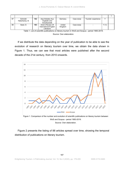| 87 | Schmidt-<br>Haberkamp, B. | 1992 | Aaa-Arbeiten Aus<br>Anglistik Und<br>Amerikanistik       | Germany           | Case study | Tourists' experience | $\checkmark$ |  |
|----|---------------------------|------|----------------------------------------------------------|-------------------|------------|----------------------|--------------|--|
| 88 | Seed. D.                  | 1983 | Ariel-A Review Of<br>International English<br>Literature | United<br>Kingdom | Case study |                      | Y(1)         |  |

Table 1. List of scientific publications on literary tourism in WoS and Scopus - period 1983-2019.

Source: Own elaboration.

If we distribute the data depending on the year of publication to be able to see the evolution of research on literary tourism over time, we obtain the data shown in Figure 1. Thus, we can see that most articles were published after the second decade of the 21st century, from 2010 onwards.



Source: Own elaboration.

Figure 2 presents the listing of 88 articles spread over time, showing the temporal distribution of publications on literary tourism.

187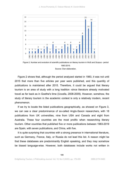

Figure 2. Number and evolution of scientific publications on literary tourism in WoS and Scopus - period 1983-2019.

Source: Own elaboration.

Figure 2 shows that, although the period analyzed started in 1983, it was not until 2015 that more than five articles per year were published, and this quantity of publications is maintained after 2015. Therefore, it could be argued that literary tourism is an area of study with a long tradition -since literature already motivated travel as far back as in Goethe's time (Uccella, 2008-2009). However, somehow, the study of literary tourism in the academic context is only a relatively modern, recent phenomenon.

If we try to locate the listed publications geographically, as showed on Figure 3, we can see a clear predominance of so-called Anglo-Saxon researchers, with 18 publications from UK universities, nine from USA and Canada and eight from Australia. These four countries are the most prolific when researching literary tourism. Other countries that published five or more publications between 1983-2019 are Spain, with seven publications, and China, with five.

It is quite surprising that countries with a strong presence in international literature, such as Germany, France, Italy, or Russia do not lead this list. A reason might be that these databases are predominantly English speaking, and they may somehow be biased language-wise. However, both databases include works not written in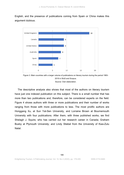English, and the presence of publications coming from Spain or China makes this argument dubious.



Figure 3. Main countries with a larger volume of publications on literary tourism during the period 1983- 2019 in WoS and Scopus. Source: Own elaboration.

The descriptive analysis also shows that most of the authors on literary tourism have just one indexed publication on this subject. There is a small number that has more than two publications and, therefore, can be considered experts on the field. Figure 4 shows authors with three or more publications and their number of works ranging from those with more publications to less. The most prolific authors are Honggang Xu, at Sun Yat-Sen University, and Lorraine Brown at Bournemouth University with four publications. After them, with three published works, we find Shelagh J. Squire, who has carried out her research career in Canada; Graham Busby at Plymouth University; and Lindy Stiebel from the University of Kwa-Zulu Natal.

189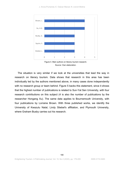

Figure 4. Main authors on literary tourism research. Source: Own elaboration.

The situation is very similar if we look at the universities that lead the way in research on literary tourism. Data shows that research in this area has been individually led by the authors mentioned above, in many cases done independently with no research group or team behind. Figure 5 backs this statement, since it shows that the highest number of publications is related to Sun-Yat Sen University, with four research contributions on this subject (4 is also the number of publications by the researcher Hongang Xu). The same data applies to Bournemouth University, with four publications by Lorraine Brown. With three published works, we identify the University of Kwazulu Natal, Lindy Stiebel's affiliation, and Plymouth University, where Graham Busby carries out his research.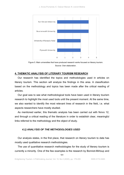J. Arcos-Pumarola; E. Osácar Marzal; N. Llonch-Molina



Figure 5. Main universities that have produced research works focused on literary tourism. Source: Own elaboration.

### **4. THEMATIC ANALYSIS OF LITERARY TOURISM RESEARCH**

Our research has identified the topics and methodologies used in articles on literary tourism. This section will analyze the findings in this area. A classification based on the methodology and topics has been made after the critical reading of articles.

Our goal was to see what methodological tools have been used in literary tourism research to highlight the most used tools until the present moment. At the same time, we also wanted to identify the most relevant lines of research in the field, i.e. what aspects researchers have mostly studied.

As mentioned earlier, this thematic analysis has been carried out with Nvivo 12, and through a critical reading of the literature in order to establish clear, meaningful links referred to the methodology and the object of study.

# *4.1) ANALYSIS OF THE METHODOLOGIES USED*

Our analysis states, in the first place, that research on literary tourism to date has mostly used qualitative research methodologies.

The use of quantitative research methodologies for the study of literary tourism is currently a minority. One of the few examples is the research by Bonniot-Mirloup and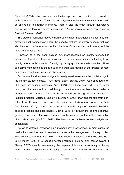Blasquiet (2016), which uses a quantitative approach to examine the context of authors' house-museums. They obtained a typology of house-museums that enabled an analysis of the reality in France. There is also the study through quantitative surveys on the topic of visitors' motivations to Anne Frank's museum, carried out by Busby & Devereux (2015).

The studies mentioned above validate quantitative methodologies since they can provide global perspectives about the specific realities of literary tourism that can also help to know better who practices this type of tourism, their motivations, and the heritage facilities at hand.

However, as it has been pointed out, most research on literary tourism has focused on the study of specific realities, i.e. through case studies, intending to go deeply into specific objects of study by using qualitative methodologies. Three qualitative methodologies stand out after a thorough reading of the articles: content analysis, detailed interviews, and observation.

On the one hand, content analysis is usually used to examine the tourist image in the literary tourism context. Thus, travel blogs (Banyai, 2010), web sites (Jurinčič, 2016) and promotional materials (Kuna, 2018) have been analyzed. On the other hand, the other main topic studied through content analysis has been the experience of literary tourism visitors. This has been carried out through content analysis of touristic products (Macleod, Shelley & Morrison, 2009), analyzing the text from nonfiction travel literature to understand the experience of visitors for example, in Paris (McClinchey, 2015), through the analysis of a wide range of materials linked to specific products and experiences (Gothie, 2016) or through the analysis of travel guides to understand the role of literature -in this case, of poetry- in the construction of a touristic view (Yu & Xu, 2016). This later article combines content analysis and observation.

As far as detailed interviews as a methodology is concerned, in most cases the predominant aim has been to analyze and assess the management of literary tourism in specific areas (Añel & Vila, 2016; Azuara Grande, Esteban Curiel & Río de la Hoz, 2019; Müller, 2006) or of specific heritage facilities, such as birth homes (Wang & Zhang, 2017) directly interviewing the experts. Interviews also analyze literary tourism visitors' experience with multiple scopes. For instance, to understand the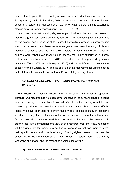process that helps to fill with meaning certain spaces in destinations which are part of literary tours (van Es & Reijnders, 2018), what factors are present in the planning phase of a literary trip (MacLeod et al., 2018), or what role the touristic experience plays in creating literary spaces (Jiang & Xu, 2016, 2017).

Last, observation with varying degrees of participation is the most used research methodology by researchers on literary tourism. This methodological approach has served several goals. Because of its nature, it allows direct access to literary tourism visitors' experiences, and therefore its main goals have been the study of visitors' touristic experience and the intervening factors in such experience. Topics of analysis were: what gives meaning and shapes the tourist experience in literary routes (van Es & Reijnders, 2016, 2018), the value of territory provided by housemuseums (Bonniot-Mirloup & Blasquiet, 2016) visitors' satisfaction in these same spaces (Wang & Zhang, 2017) and the analysis of the motivations for visiting spaces that celebrate the lives of literary authors (Brown, 2016), among others.

# *4.2) LINES OF RESEARCH AND TRENDS IN LITERARY TOURISM RESEARCH*

This section will identify existing lines of research and trends in specialist literature. Our research has not been comprehensive in the sense that not all existing articles are going to be mentioned. Instead, after the critical reading of articles, we created topic clusters, and we then referred to those articles that best exemplify the topics. We have been able to identify four principal objects of study in academic literature. Through the identification of the topics on which most of the authors have focused, we will outline the possible future trends in literary tourism research. In order to facilitate a comprehensive view of this research area, the following section will be divided into four parts, one per line of research so that each part will detail their specific trends and objects of study. The highlighted research lines are the experience of the literary tourist, the management of literary tourism, the literary landscape and image, and the motivation behind a literary trip.

#### **A) THE EXPERIENCE OF THE LITERARY TOURIST**

193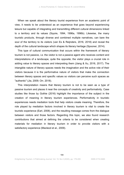When we speak about the literary tourist experience from an academic point of view, it needs to be understood as an experience that goes beyond experiencing leisure but capable of integrating and transmitting different cultural dimensions linked to a territory and its values (Squire, 1994, 1996a, 1996b). Likewise, the many touristic products, through diverse and combined multiple narratives, can bare the soul of the territory to its visitors (van Es & Reijnders, 2016, 2018) and reveal the depth of the cultural landscape which shapes its literary heritage (Spooner, 2014).

This type of cultural communication that occurs within the framework of literary tourism is not passive, i.e. the visitor is not a passive agent who receives content and interpretations of a landscape, quite the opposite; the visitor plays a crucial role in adding value to literary spaces and interpreting them (Jiang & Xu, 2016, 2017). The intangible nature of literary spaces needs the imagination and the active role of their visitors because it is the performative nature of visitors that make the connection between literary spaces and specific values so visitors can perceive such spaces as "authentic" (Jia, 2009; Orr, 2018).

This interpretation means that literary tourism is not to be seen as a type of passive tourism and places it near the concepts of creativity and performativity. Case studies like those by Gothie (2016) highlight the importance of the subject in the creation of meaning in literary tourism experiences. Performativity in touristic experiences needs mediation tools that help visitors create meaning. Therefore, the role played by mediation factors involved in literary tourism is vital to create the touristic experience (Earl, 2008), and the resulting message comes from the dialogue between visitors and those factors. Regarding this topic, we also found research contributions that aimed at defining the criteria to be considered when creating materials for mediation in literary tourism in order to provide visitors with a satisfactory experience (Macleod et al., 2009).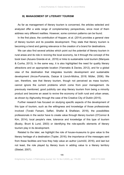#### **B) MANAGEMENT OF LITERARY TOURISM**

As far as management of literary tourism is concerned, the articles selected and analyzed offer a wide range of complementary perspectives, since most of them address very different realities. However, some common patterns can be found.

In the first place, the contribution of Hoppen, et al. (2014) provides a general view of literary tourism and its possible development. They state that literary tourism is becoming a trend and gaining relevance in the creation of a brand for destinations.

We can also find several articles which point out the potential of literary tourism in rural areas and its role in reviving the local economy, be it through the concept of the book town (Azuara Grande et al., 2019) or links to sustainable rural tourism (Marques & Cunha, 2013). In the same way, it is also highlighted the need for quality literary attractions and an appropriate location (Yiannakis & Davies, 2012), and for a global view of the destination that integrates touristic development and sustainable development (Arcos-Pumarola, Osácar & Llonch-Molina, 2018; Müller, 2006). We can, therefore, see that literary tourism, though not perceived as mass tourism, cannot ignore the current problems which come from poor management. As previously mentioned, good publicity can stop literary tourism from being a minority product and become an asset to revive the economy of both rural and urban areas, as shown by Alghureiby through the case of the Creative City of Dublin (2015).

Further research has focused on studying specific aspects of the development of this type of tourism, such as the willingness and knowledge of those professionals involved (Torabi Farsani, Saffari, Shafiei & Shafieian, 2018), the possibilities professionals in the sector have to create value through literary tourism (O'Connor & Kim, 2014), local people's view, tolerance and knowledge of this type of tourism (Busby, Brunt & Lund, 2003) or identifying the role-specific elements of literary tourism play in its development.

Related to the later, we highlight the role of house-museums to give value to the literary heritage of a destination (Topler, 2016); the importance of the messages sent from these facilities and how they help value an author (Jurinčič, 2016), and last but not least, the role played by literary tours in adding value to a literary territory (Stiebel, 2007).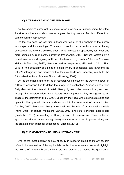#### **C) LITERARY LANDSCAPE AND IMAGE**

As this section's paragraph suggests, when it comes to understanding the effect literature and literary tourism have on a given territory, we can find two different but complementary approaches.

On the one hand, we can find authors who focus on the analysis of the literary landscape and its meanings. This way, if we look at a territory from a literary perspective, we give it a semiotic depth, which creates an opportunity for richer and more complex current literary narratives (MacKenzie, 2017). Several factors play a crucial role when designing a literary landscape, e.g., authors' homes (Bonniot-Mirloup & Blasquiet, 2016), literature read as map-making (Richterich, 2011; Rios, 2018) or the popularity of a piece of fiction which, in occasions, can transcend the fiction's intangibility and transform the tangible landscape, adapting reality to the fictionalized territory (Payne & Simpson-Housley, 2001).

On the other hand, a further line of research would focus on the ways the power of a literary landscape has to define the image of a destination. Articles on this topic firstly deal with the potential of certain literary figures, to be commoditized, and how, through this transformation into a literary tourism product, they also generate an image of the destination (Fox, 2008). Secondly, they deal with existing strategies and dynamics that generate literary landscapes within the framework of literary tourism (Le Bel, 2017). Moreover, thirdly, they deal with the role of promotional materials (Kuna, 2018), of cultural mediators (Banyai, 2010) and culture-oriented mass media (Saldanha, 2018) in creating a literary image of destinations. These different approaches aim at understanding literary tourism as an asset in place-making and the creation of an image for destinations (Bridgma, 2010).

#### **D) THE MOTIVATION BEHIND A LITERARY TRIP**

One of the most popular objects of study in research linked to literary tourism refers to the motivation of literary tourists. In this line of research, we must highlight the works of Lorraine Brown, who wrote two articles that posed the question of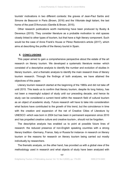tourists' motivations in two different contexts: the graves of Jean-Paul Sartre and Simone de Beauvoir in Paris (Brown, 2016) and the Vittoriale degli italiani, the last home of the poet D'Annunzio (Gentile & Brown, 2015).

Other research publications worth mentioning have been produced by Busby & Devereux (2015). They consider literature as a probable motivation to visit spaces closely linked to other types of tourism, but that have a high literary component. Such would be the case of Anne Frank's House or Pérez Redondo's article (2017), which aims at describing the profile of the literary tourist in Spain.

#### **5. CONCLUSIONS**

This paper aimed to gain a comprehensive perspective about the estate of the art research on literary tourism. We developed a systematic literature review -which consisted of a descriptive analysis to identify the number and evolution of studies in literary tourism-, and a thematic analysis to identify the main research lines of literary tourism research. Through the findings of both analyses, we have attained the objectives of this paper.

Literary tourism research started at the beginning of the 1980s and did not take off until 2015. This leads us to confirm that literary tourism, despite its long history, has not been a meaningful subject of study until our preceding decade, and hence its study can be considered a current trend within the research field of cultural tourism as an object of academic study. Future research will have to take into consideration what factors have contributed to the growth of this trend, but the coincidence in time with the creation and expansion of the net of Creative Cities of Literature by UNESCO -which was born in 2004 but has been in permanent expansion since 2010 and has propelled creative culture and creative tourism-, should not be forgotten.

The descriptive analysis has enabled us to point at possible future lines of research: the reduced presence of non-English speaking countries with a strong literary tradition -Germany, France, Italy or Russia for instance- in research on literary tourism or the reasons for research on literary tourism being carried out mostly individually by researchers.

The thematic analysis, on the other hand, has provided us with a global view of the methodology used in research and what objects of study have been analyzed with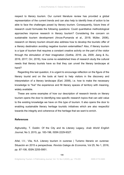respect to literary tourism. Our current literature review has provided a global representation of the current trends and can also help to identify lines of action to be able to face the challenges posed by literary tourism. Consequently, future lines of research could formulate the following questions: Could quantitative methodological approaches improve research in literary tourism? Considering the concern on sustainable tourism development (Arcos-Pumarola et al., 2018; Müller, 2006), research on literary tourism should also address how to develop the touristic offer of a literary destination avoiding negative tourism externalities? Also, if literary tourism is a type of tourism that requires a constant creative activity on the part of the visitor through the stimulation of their imagination (Gothie, 2016; Jia, 2009; Jiang & Xu, 2016, 2017; Orr, 2018), how come no established lines of research study the cultural needs that literary tourists have so that they can unveil the literary landscape at hand?

Regarding this last question, it is urgent to encourage reflection on the figure of the literary tourist and on the tools at hand to help visitors in the discovery and interpretation of a literary landscape (Earl, 2008), i.e. how to make the necessary knowledge to "live" the experience and fill literary spaces of territory with meaning, widely available.

These are some examples of how our description of research trends on literary tourism opens the door to identifying new specific research topics that can add value to the existing knowledge we have on this type of tourism. It also opens the door to enabling sustainable literary heritage touristic initiatives which are also respectful towards the integrity and coherence of the heritage that we want to enrich.

#### **References**

Alghureiby, T. Dublin: Of the City and its Literary Legacy. *Arab World English Journal*, No 3, 2015, pp. 183-196, ISSN 2229-9327.

Añel, I.V.; Vila, N.A. Literary tourism in ourense | Turismo literario en ourense: Situación en 2015 e perspectivas. *Revista Galega de Economia*, Vol 25, No 1, 2016, pp. 87-108, ISSN 2255-5951.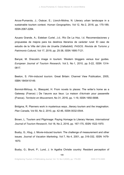Arcos-Pumarola, J.; Osácar, E.; Llonch-Molina, N. Literary urban landscape in a sustainable tourism context. *Human Geographies,* Vol 12, No 2, 2018, pp. 175-189, ISSN 2067-2284.

Azuara Grande, A.; Esteban Curiel, J.d.; Río De La Hoz, I.d. Recomendaciones y propuestas de mejora para los destinos literarios de carácter rural: El caso de estudio de la Villa del Libro de Urueña (Valladolid). *PASOS. Revista de Turismo y Patrimonio Cultural*, Vol 17, 2019, pp. 25-38, ISSN 1695-7121.

Banyai, M. Dracula's image in tourism: Western bloggers versus tour guides. *European Journal of Tourism Research,* Vol 3, No 1, 2010, pp. 5-22, ISSN 1314- 0817*.* 

Beeton, S. *Film-induced tourism*. Great Britain: Channel View Publication, 2005, ISBN 1845410149.

Bonniot-Mirloup, A.; Blasquiet, H. From novels to places: The writer's home as a Gateway (France) | De l'œuvre aux lieux: La maison d'écrivain pour passerelle (France). *Territoire en Mouvement*, No 31, 2016, pp. 1-19, ISSN 1950-5698.

Bridgma, R. Planners work in mysterious ways...literary tourism and the imagination. *Plan Canada,* Vol 50, No 2, 2010, pp. 42-46, ISSN 0032-0544.

Brown, L. Tourism and Pilgrimage: Paying Homage to Literary Heroes. *International Journal of Tourism Research*, Vol 18, No 2, 2016, pp. 167-175, ISSN 1522-1970.

Busby, G.; Klug, J. Movie-induced tourism: The challenge of measurement and other issues. *Journal of Vacation Marketing*, Vol 7, No 4, 2001, pp. 316-332, ISSN 1479- 1870.

Busby, G.; Brunt, P.; Lund, J. In Agatha Christie country: Resident perception of

199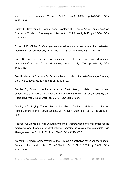special interest tourism. *Tourism*, Vol 51, No 3, 2003, pp. 287-300, ISSN 1849-1545.

Busby, G.; Devereux, H. Dark tourism in context: The Diary of Anne Frank. *European Journal of Tourism, Hospitality and Recreation*, Vol 6, No 1, 2015, pp. 27-38, ISSN 2182-4924.

Dubois, L.E.; Gibbs, C. Video game–induced tourism: a new frontier for destination marketers. *Tourism Review*, Vol 73, No 2, 2018, pp. 186-198, ISSN 1759-8451.

Earl, B. Literary tourism: Constructions of value, celebrity and distinction. *International Journal of Cultural Studies,* Vol 11, No 4, 2008, pp. 401-417, ISSN 1460-356X.

Fox, R. Marin držić: A case for Croatian literary tourism. *Journal of Heritage Tourism,* Vol 3, No 2, 2008, pp. 138-153, ISSN 1743-873X.

Gentile, R.; Brown, L. A life as a work of art: literary tourists' motivations and experiences at il Vittoriale degli Italiani. *European Journal of Tourism, Hospitality and Recreation,* Vol 6, No 2, 2015, pp. 25-47, ISSN 2182-4924.

Gothie, S.C. Playing "Anne": Red braids, Green Gables, and literary tourists on Prince Edward Island. *Tourist Studies,* Vol 16, No 4, 2016, pp. 405-421, ISSN 1741- 3206.

Hoppen, A.; Brown, L.; Fyall, A. Literary tourism: Opportunities and challenges for the marketing and branding of destinations? *Journal of Destination Marketing and Management*, Vol 3, No 1, 2014, pp. 37-47, ISSN 2212-5752.

Iwashita, C. Media representation of the U.K. as a destination for Japanese tourists: Popular culture and tourism. *Tourist Studies*, Vol 6, No 1, 2006, pp. 59-77, ISSN 1741-3206.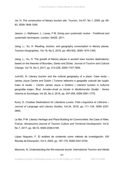Jia, H. The construction of literary tourism site. *Tourism,* Vol 57, No 1, 2009, pp. 69- 83, ISSN 1849-1545.

Jesson, J.; Matheson, L.; Lacey, F.M. *Doing your systematic review - Traditional and systematic techniques.* London: SAGE, 2011.

Jiang, L.; Xu, H. Reading, tourism, and geography consumption in literary places. *Tourism Geographies,* Vol 18, No 5, 2016, pp. 483-502, ISSN 1470-1340.

Jiang, L.; Xu, H. The growth of literary places in ancient town tourism destinations: based on the theories of Bourdieu, Danto and Dickie. *Journal of Tourism and Cultural Change,* Vol 15, No 3, 2017, pp. 213-228, ISSN 1747-7654.

Jurinčič, N. Literary tourism and the cultural geography of a place: Case study – James Joyce Centre and Dublin | Turismo letterario e geografie culturali dei luoghi: Caso di studio – Centro James Joyce e Dublino | Literarni turizem in kulturne geografije krajev: Štud. *Annales-Anali za Istrske in Mediteranske Studije - Series Historia et Sociologia,* Vol 26, No 2, 2016, pp. 247-258, ISSN 2591-1775.

Kuna, D. Croatian Destinations for Literature Lovers. *Folia Linguistica et Litteraria – Journal of Language and Literary Studies,* Vol 24, 2018, pp. 111–134, ISSN 2337- 0955.

Le Bel, P-M. Literary Heritage and Place Building for Communities: the Case of Allier, France. *Almatourism-Journal of Tourism Culture and Territorial Development*, Vol 8, No 7, 2017, pp. 58-74, ISSN 2036-5195.

López Noguero, F. El análisis de contenido como método de investigación. XXI Revista de Educación, Vol 4, 2002, pp. 167-179, ISSN 2341-0744.

Macionis, N. Understanding the film-induced tourist. *International Tourism and Media* 

201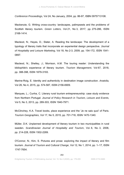*Conference Proceedings,* Vol 24, No January, 2004, pp. 86-97, ISBN 0975713108.

Mackenzie, G. Writing cross-country: landscapes, palimpsests and the problems of Scottish literary tourism. *Green Letters,* Vol 21, No 3, 2017, pp. 275-286, ISSN 2168-1414.

Macleod, N.; Hayes, D.; Slater, A. Reading the landscape: The development of a typology of literary trails that incorporate an experiential design perspective. *Journal of Hospitality and Leisure Marketing*, Vol 18, No 2-3, 2009, pp. 154-172, ISSN 1541- 0897.

Macleod, N.; Shelley, J.; Morrison, A.M. The touring reader: Understanding the bibliophile's experience of literary tourism. *Tourism Management,* Vol 67, 2018, pp. 388-398, ISSN 1879-3193.

Marine-Roig, E. Identity and authenticity in destination image construction. *Anatolia,* Vol 26, No 4, 2015, pp. 574-587, ISSN 2156-6909.

Marques, L.; Cunha, C. Literary rural tourism entrepreneurship: case study evidence from Northern Portugal. *Journal of Policy Research in Tourism, Leisure and Events,*  Vol 5, No 3, 2013, pp. 289-303, ISSN 1940-7971.

McClinchey, K.A. Travel books, place experience and the 'Je ne sais quoi' of Paris. *Tourism Geographies,* Vol 17, No 5, 2015, pp. 701-718, ISSN 1470-1340.

Müller, D.K. Unplanned development of literary tourism in two municipalities in rural sweden. *Scandinavian Journal of Hospitality and Tourism*, Vol. 6, No. 3, 2006, pp. 214-228, ISSN 1502-2269.

O'Connor, N.; Kim, S. Pictures and prose: exploring the impact of literary and film tourism. *Journal of Tourism and Cultural Change*, Vol 12, No 1, 2014, pp. 1–17, ISSN 1747-7654.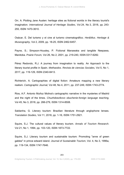Orr, A. Plotting Jane Austen: heritage sites as fictional worlds in the literary tourist's imagination. *International Journal of Heritage Studies*, Vol 24, No 3, 2018, pp. 243- 255, ISSN 1470-3610.

Osácar, E. Del turismo y el cine al turismo cinematográfico. *Her&Mus. Heritage & Museography,* Vol 2, 2009, pp. 18-25, ISSN 2462-6457.

Payne, S.; Simpson-Housley, P. Fictional Manawaka and tangible Neepawa, Manitoba. *Prairie Forum,* Vol 26, No 2, 2001, pp. 219-240, ISSN 0317-6282.

Pérez Redondo, R.J. A journey from imagination to reality. An Approach to the literary tourist profile in Spain. *Methaodos. Revista de ciencias Sociales,* Vol 5, No 1, 2017, pp. 119-129, ISSN 2340-8413.

Richterich, A. Cartographies of digital fiction: Amateurs mapping a new literary realism. *Cartographic Journal,* Vol 48, No 4, 2011, pp. 237-249, ISSN 1743-2774.

Rios, A.F. Antonio Muñoz Molina's cartographic narrative in the mysteries of Madrid and the night of the times. *Chuzhdoezikovo obuchenie-foreign language teaching,* Vol 45, No 3, 2018, pp. 266-279, ISSN 1314-8508.

Saldanha, G. Literary tourism: Brazilian literature through anglophone lenses. *Translation Studies,* Vol 11, 2018, pp. 1-16, ISSN 1751-2921.

Squire, S.J. The cultural values of literary tourism. *Annals of Tourism Research*. Vol 21, No 1, 1994, pp. 103-120, ISSN 1873-7722.

Squire, S.J. Literary tourism and sustainable tourism: Promoting "anne of green gables" in prince edward island. *Journal of Sustainable Tourism*, Vol. 4, No 3, 1996a, pp. 119-134, ISSN 1747-7646.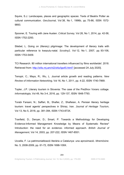Squire, S.J. Landscapes, places and geographic spaces: Texts of Beatrix Potter as cultural communication. *GeoJournal*, Vol 38, No 1, 1996b, pp. 75-86, ISSN 1572- 9893.

Spooner, E. Touring with Jane Austen. *Critical Survey,* Vol 26, No 1, 2014, pp. 42-58, ISSN 1752-2293.

Stiebel, L. Going on (literary) pilgrimage: The development of literary trails with particular reference to kwazulu-natal. *Scrutiny2,* Vol 12, No 1, 2007, pp. 93-106, ISSN 1753-5409.

TCI Research. 80 million international travellers influenced by films worldwide!. 2018. Retrieved from: http://xl4z.mj.am/nl2/xl4z/lgs45.html? [accessed 24 July 2020].

Tenopir, C.; Mays, R.; Wu, L. Journal article growth and reading patterns. *New Review of Information Networking,* Vol 16, No 1, 2011, pp. 4-22, ISSN 1740-7869.

Topler, J.P. Literary tourism in Slovenia: The case of the Prežihov Voranc cottage. *Informatologia*, Vol 49, No 3-4, 2016, pp. 129-137, ISSN 1848-7793.

Torabi Farsani, N.; Saffari, B,; Shafiei, Z.; Shafieian, A. Persian literary heritage tourism: travel agents' perspectives in Shiraz, Iran. *Journal of Heritage Tourism*, Vol 13, No 5, 2018, pp. 381-394, ISSN 1743-873X.

Tranfield, D.; Denyer, D.; Smart, P. Towards a Methodology for Developing Evidence-Informed Management Knowledge by Means of Systematic Review\* Introduction: the need for an evidence- informed approach. *British Journal of Management*, Vol 14, 2003, pp. 207-222, ISSN 1467-8551.

Uccella, F. La patrimonialització literària a Catalunya: una aproximació. *Mnemòsine*. No. 5, 2008-2009, pp. 61-72, ISSN 1698-109X.